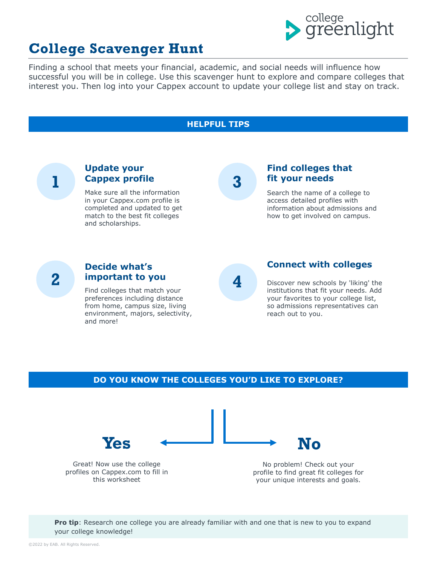

## **College Scavenger Hunt**

Finding a school that meets your financial, academic, and social needs will influence how successful you will be in college. Use this scavenger hunt to explore and compare colleges that interest you. Then log into your Cappex account to update your college list and stay on track.



**Pro tip**: Research one college you are already familiar with and one that is new to you to expand your college knowledge!